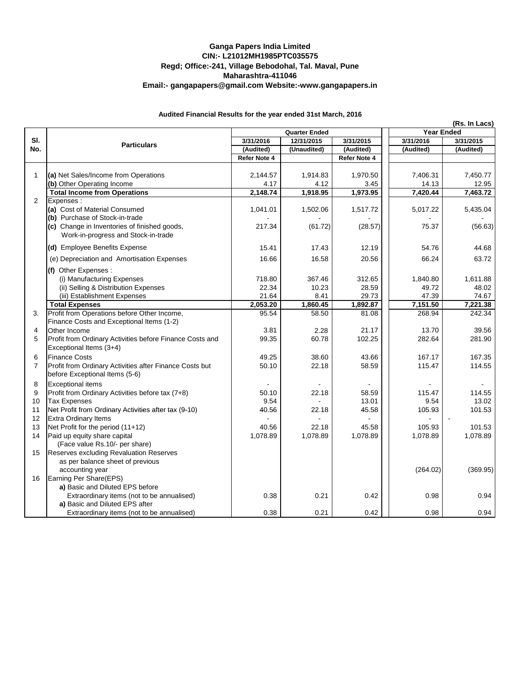## **Ganga Papers India Limited CIN:- L21012MH1985PTC035575 Regd; Office:-241, Village Bebodohal, Tal. Maval, Pune Maharashtra-411046 Email:- gangapapers@gmail.com Website:-www.gangapapers.in**

## **Audited Financial Results for the year ended 31st March, 2016**

|                | <b>Particulars</b>                                       |                                                 |               |                 | (Rs. In Lacs)<br><b>Year Ended</b> |           |
|----------------|----------------------------------------------------------|-------------------------------------------------|---------------|-----------------|------------------------------------|-----------|
| SI.<br>No.     |                                                          | <b>Quarter Ended</b><br>3/31/2016<br>12/31/2015 |               | 3/31/2015       | 3/31/2016<br>3/31/2015             |           |
|                |                                                          | (Audited)                                       | (Unaudited)   | (Audited)       | (Audited)                          | (Audited) |
|                |                                                          | Refer Note 4                                    |               | Refer Note 4    |                                    |           |
|                |                                                          |                                                 |               |                 |                                    |           |
| 1              | (a) Net Sales/Income from Operations                     | 2,144.57                                        | 1,914.83      | 1,970.50        | 7,406.31                           | 7,450.77  |
|                | (b) Other Operating Income                               | 4.17                                            | 4.12          | 3.45            | 14.13                              | 12.95     |
|                | <b>Total Income from Operations</b>                      | 2,148.74                                        | 1,918.95      | 1,973.95        | 7,420.44                           | 7,463.72  |
| $\overline{2}$ | Expenses:                                                |                                                 |               |                 |                                    |           |
|                | (a) Cost of Material Consumed                            | 1,041.01                                        | 1,502.06      | 1,517.72        | 5,017.22                           | 5,435.04  |
|                | (b) Purchase of Stock-in-trade                           |                                                 |               |                 |                                    |           |
|                | (c) Change in Inventories of finished goods,             | 217.34                                          | (61.72)       | (28.57)         | 75.37                              | (56.63)   |
|                | Work-in-progress and Stock-in-trade                      |                                                 |               |                 |                                    |           |
|                | (d) Employee Benefits Expense                            | 15.41                                           | 17.43         | 12.19           | 54.76                              | 44.68     |
|                | (e) Depreciation and Amortisation Expenses               | 16.66                                           | 16.58         | 20.56           | 66.24                              | 63.72     |
|                |                                                          |                                                 |               |                 |                                    |           |
|                | (f) Other Expenses :                                     |                                                 |               |                 |                                    |           |
|                | (i) Manufacturing Expenses                               | 718.80                                          | 367.46        | 312.65          | 1,840.80                           | 1,611.88  |
|                | (ii) Selling & Distribution Expenses                     | 22.34                                           | 10.23         | 28.59           | 49.72                              | 48.02     |
|                | (iii) Establishment Expenses                             | 21.64                                           | 8.41          | 29.73           | 47.39                              | 74.67     |
|                | <b>Total Expenses</b>                                    | 2,053.20                                        | 1,860.45      | 1,892.87        | 7,151.50                           | 7,221.38  |
| 3.             | Profit from Operations before Other Income,              | 95.54                                           | 58.50         | 81.08           | 268.94                             | 242.34    |
|                | Finance Costs and Exceptional Items (1-2)                |                                                 |               |                 |                                    |           |
| 4<br>5         | Other Income                                             | 3.81<br>99.35                                   | 2.28<br>60.78 | 21.17<br>102.25 | 13.70<br>282.64                    | 39.56     |
|                | Profit from Ordinary Activities before Finance Costs and |                                                 |               |                 |                                    | 281.90    |
|                | Exceptional Items (3+4)                                  |                                                 |               |                 |                                    |           |
| 6              | <b>Finance Costs</b>                                     | 49.25                                           | 38.60         | 43.66           | 167.17                             | 167.35    |
| $\overline{7}$ | Profit from Ordinary Activities after Finance Costs but  | 50.10                                           | 22.18         | 58.59           | 115.47                             | 114.55    |
|                | before Exceptional Items (5-6)                           |                                                 |               |                 |                                    |           |
| 8              | <b>Exceptional items</b>                                 |                                                 |               |                 |                                    |           |
| 9              | Profit from Ordinary Activities before tax (7+8)         | 50.10                                           | 22.18         | 58.59           | 115.47                             | 114.55    |
| 10             | <b>Tax Expenses</b>                                      | 9.54                                            |               | 13.01           | 9.54                               | 13.02     |
| 11             | Net Profit from Ordinary Activities after tax (9-10)     | 40.56                                           | 22.18         | 45.58           | 105.93                             | 101.53    |
| 12             | <b>Extra Ordinary Items</b>                              |                                                 |               |                 |                                    |           |
| 13             | Net Profit for the period (11+12)                        | 40.56                                           | 22.18         | 45.58           | 105.93                             | 101.53    |
| 14             | Paid up equity share capital                             | 1,078.89                                        | 1,078.89      | 1,078.89        | 1,078.89                           | 1,078.89  |
|                | (Face value Rs.10/- per share)                           |                                                 |               |                 |                                    |           |
| 15             | Reserves excluding Revaluation Reserves                  |                                                 |               |                 |                                    |           |
|                | as per balance sheet of previous                         |                                                 |               |                 |                                    |           |
|                | accounting year                                          |                                                 |               |                 | (264.02)                           | (369.95)  |
| 16             | Earning Per Share(EPS)                                   |                                                 |               |                 |                                    |           |
|                | a) Basic and Diluted EPS before                          | 0.38                                            | 0.21          | 0.42            |                                    |           |
|                | Extraordinary items (not to be annualised)               |                                                 |               |                 | 0.98                               | 0.94      |
|                | a) Basic and Diluted EPS after                           |                                                 |               |                 |                                    |           |
|                | Extraordinary items (not to be annualised)               | 0.38                                            | 0.21          | 0.42            | 0.98                               | 0.94      |